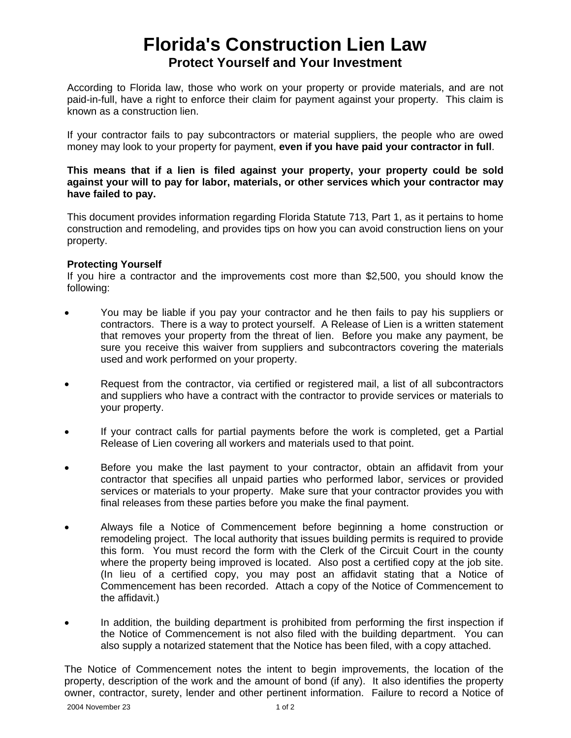# **Florida's Construction Lien Law Protect Yourself and Your Investment**

According to Florida law, those who work on your property or provide materials, and are not paid-in-full, have a right to enforce their claim for payment against your property. This claim is known as a construction lien.

If your contractor fails to pay subcontractors or material suppliers, the people who are owed money may look to your property for payment, **even if you have paid your contractor in full**.

**This means that if a lien is filed against your property, your property could be sold against your will to pay for labor, materials, or other services which your contractor may have failed to pay.**

This document provides information regarding Florida Statute 713, Part 1, as it pertains to home construction and remodeling, and provides tips on how you can avoid construction liens on your property.

#### **Protecting Yourself**

If you hire a contractor and the improvements cost more than \$2,500, you should know the following:

- You may be liable if you pay your contractor and he then fails to pay his suppliers or contractors. There is a way to protect yourself. A Release of Lien is a written statement that removes your property from the threat of lien. Before you make any payment, be sure you receive this waiver from suppliers and subcontractors covering the materials used and work performed on your property.
- Request from the contractor, via certified or registered mail, a list of all subcontractors and suppliers who have a contract with the contractor to provide services or materials to your property.
- If your contract calls for partial payments before the work is completed, get a Partial Release of Lien covering all workers and materials used to that point.
- Before you make the last payment to your contractor, obtain an affidavit from your contractor that specifies all unpaid parties who performed labor, services or provided services or materials to your property. Make sure that your contractor provides you with final releases from these parties before you make the final payment.
- Always file a Notice of Commencement before beginning a home construction or remodeling project. The local authority that issues building permits is required to provide this form. You must record the form with the Clerk of the Circuit Court in the county where the property being improved is located. Also post a certified copy at the job site. (In lieu of a certified copy, you may post an affidavit stating that a Notice of Commencement has been recorded. Attach a copy of the Notice of Commencement to the affidavit.)
- In addition, the building department is prohibited from performing the first inspection if the Notice of Commencement is not also filed with the building department. You can also supply a notarized statement that the Notice has been filed, with a copy attached.

2004 November 23 1 of 2 The Notice of Commencement notes the intent to begin improvements, the location of the property, description of the work and the amount of bond (if any). It also identifies the property owner, contractor, surety, lender and other pertinent information. Failure to record a Notice of